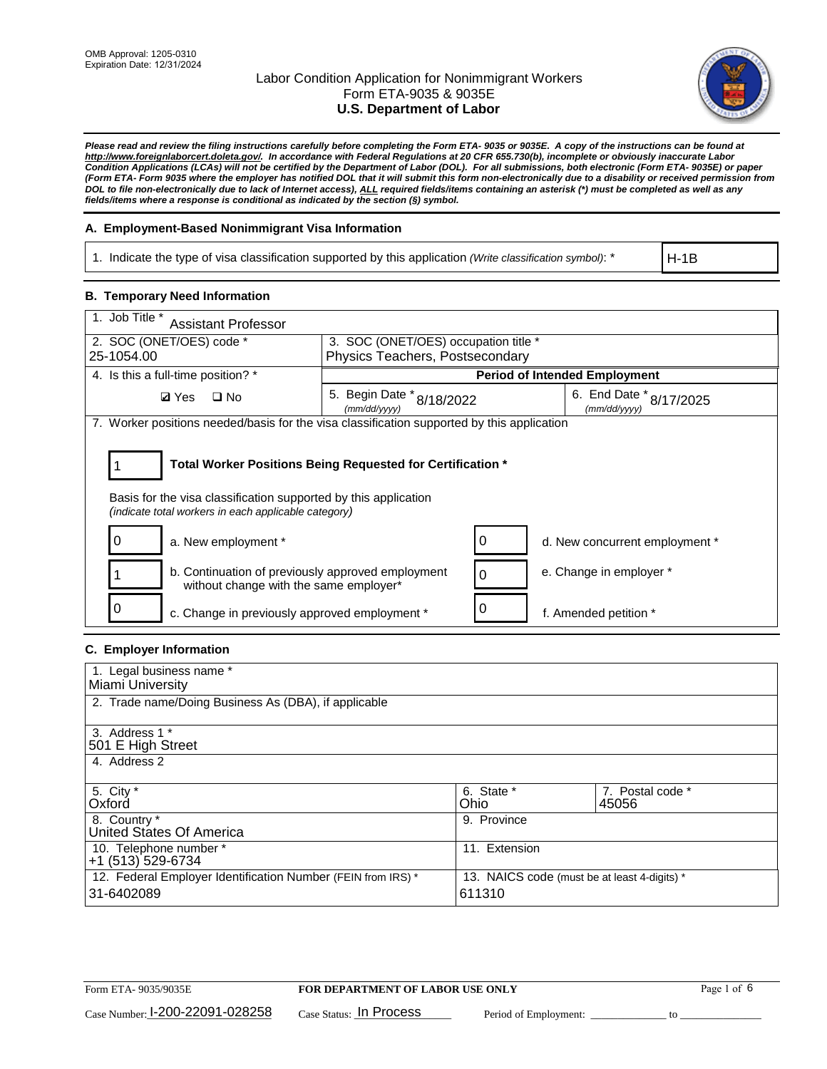

*Please read and review the filing instructions carefully before completing the Form ETA- 9035 or 9035E. A copy of the instructions can be found at [http://www.foreignlaborcert.doleta.gov/.](http://www.foreignlaborcert.doleta.gov/) In accordance with Federal Regulations at 20 CFR 655.730(b), incomplete or obviously inaccurate Labor Condition Applications (LCAs) will not be certified by the Department of Labor (DOL). For all submissions, both electronic (Form ETA- 9035E) or paper (Form ETA- Form 9035 where the employer has notified DOL that it will submit this form non-electronically due to a disability or received permission from DOL to file non-electronically due to lack of Internet access), ALL required fields/items containing an asterisk (\*) must be completed as well as any fields/items where a response is conditional as indicated by the section (§) symbol.* 

### **A. Employment-Based Nonimmigrant Visa Information**

1. Indicate the type of visa classification supported by this application *(Write classification symbol)*: \*

H-1B

### **B. Temporary Need Information**

| 1. Job Title *<br><b>Assistant Professor</b>                                                                            |                                                                         |          |                                         |  |  |
|-------------------------------------------------------------------------------------------------------------------------|-------------------------------------------------------------------------|----------|-----------------------------------------|--|--|
| 2. SOC (ONET/OES) code *<br>25-1054.00                                                                                  | 3. SOC (ONET/OES) occupation title *<br>Physics Teachers, Postsecondary |          |                                         |  |  |
|                                                                                                                         |                                                                         |          |                                         |  |  |
| 4. Is this a full-time position? *                                                                                      | <b>Period of Intended Employment</b>                                    |          |                                         |  |  |
| <b>Ø</b> Yes<br>$\square$ No                                                                                            | 5. Begin Date * 8/18/2022<br>(mm/dd/yyyy)                               |          | 6. End Date * 8/17/2025<br>(mm/dd/yyyy) |  |  |
| 7. Worker positions needed/basis for the visa classification supported by this application                              |                                                                         |          |                                         |  |  |
| Total Worker Positions Being Requested for Certification *                                                              |                                                                         |          |                                         |  |  |
| Basis for the visa classification supported by this application<br>(indicate total workers in each applicable category) |                                                                         |          |                                         |  |  |
| a. New employment *                                                                                                     |                                                                         | 0        | d. New concurrent employment *          |  |  |
| b. Continuation of previously approved employment<br>without change with the same employer*                             |                                                                         | $\Omega$ | e. Change in employer *                 |  |  |
| c. Change in previously approved employment *                                                                           |                                                                         |          | f. Amended petition *                   |  |  |

# **C. Employer Information**

| 1. Legal business name *                                     |                                              |                  |  |  |  |
|--------------------------------------------------------------|----------------------------------------------|------------------|--|--|--|
| Miami University                                             |                                              |                  |  |  |  |
| 2. Trade name/Doing Business As (DBA), if applicable         |                                              |                  |  |  |  |
|                                                              |                                              |                  |  |  |  |
| 3. Address 1 *                                               |                                              |                  |  |  |  |
| 501 E High Street                                            |                                              |                  |  |  |  |
| 4. Address 2                                                 |                                              |                  |  |  |  |
|                                                              |                                              |                  |  |  |  |
| 5. City *                                                    | 6. State *                                   | 7. Postal code * |  |  |  |
| Oxford                                                       | Ohio                                         | 45056            |  |  |  |
| 8. Country *                                                 | 9. Province                                  |                  |  |  |  |
| United States Of America                                     |                                              |                  |  |  |  |
| 10. Telephone number *                                       | 11. Extension                                |                  |  |  |  |
| +1 (513) 529-6734                                            |                                              |                  |  |  |  |
| 12. Federal Employer Identification Number (FEIN from IRS) * | 13. NAICS code (must be at least 4-digits) * |                  |  |  |  |
| 31-6402089                                                   | 611310                                       |                  |  |  |  |
|                                                              |                                              |                  |  |  |  |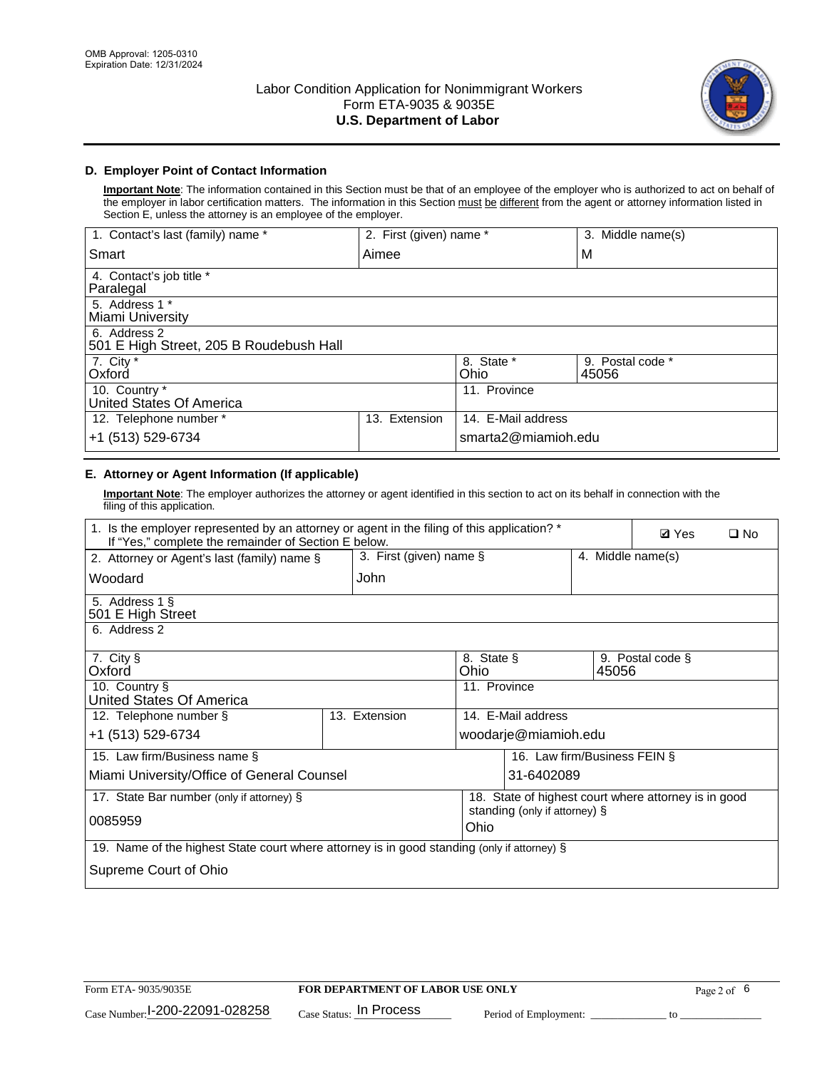

## **D. Employer Point of Contact Information**

**Important Note**: The information contained in this Section must be that of an employee of the employer who is authorized to act on behalf of the employer in labor certification matters. The information in this Section must be different from the agent or attorney information listed in Section E, unless the attorney is an employee of the employer.

| 1. Contact's last (family) name *                       | 2. First (given) name * |                     | 3. Middle name(s)         |
|---------------------------------------------------------|-------------------------|---------------------|---------------------------|
| Smart                                                   | Aimee                   |                     | M                         |
| 4. Contact's job title *<br>Paralegal                   |                         |                     |                           |
| 5. Address 1 *<br>Miami University                      |                         |                     |                           |
| 6. Address 2<br>501 E High Street, 205 B Roudebush Hall |                         |                     |                           |
| 7. City *<br>Oxford                                     |                         | 8. State *<br>Ohio  | 9. Postal code *<br>45056 |
| 10. Country *<br>United States Of America               |                         | 11. Province        |                           |
| 12. Telephone number *                                  | Extension<br>13.        | 14. E-Mail address  |                           |
| +1 (513) 529-6734                                       |                         | smarta2@miamioh.edu |                           |

# **E. Attorney or Agent Information (If applicable)**

**Important Note**: The employer authorizes the attorney or agent identified in this section to act on its behalf in connection with the filing of this application.

| 1. Is the employer represented by an attorney or agent in the filing of this application? *<br>If "Yes," complete the remainder of Section E below. | <b>Ø</b> Yes<br>$\Box$ No                                                                   |                    |                               |                                                      |  |  |  |  |  |  |
|-----------------------------------------------------------------------------------------------------------------------------------------------------|---------------------------------------------------------------------------------------------|--------------------|-------------------------------|------------------------------------------------------|--|--|--|--|--|--|
| 2. Attorney or Agent's last (family) name §                                                                                                         | 3. First (given) name §<br>4. Middle name(s)                                                |                    |                               |                                                      |  |  |  |  |  |  |
| Woodard                                                                                                                                             | John                                                                                        |                    |                               |                                                      |  |  |  |  |  |  |
| 5. Address 1 §<br>501 E High Street                                                                                                                 |                                                                                             |                    |                               |                                                      |  |  |  |  |  |  |
| 6. Address 2                                                                                                                                        |                                                                                             |                    |                               |                                                      |  |  |  |  |  |  |
| 7. City §<br>Oxford                                                                                                                                 |                                                                                             | 8. State §<br>Ohio | 45056                         | 9. Postal code §                                     |  |  |  |  |  |  |
| 10. Country §<br>United States Of America                                                                                                           |                                                                                             | 11. Province       |                               |                                                      |  |  |  |  |  |  |
| 12. Telephone number §                                                                                                                              | 13. Extension                                                                               | 14. E-Mail address |                               |                                                      |  |  |  |  |  |  |
| +1 (513) 529-6734                                                                                                                                   |                                                                                             |                    | woodarje@miamioh.edu          |                                                      |  |  |  |  |  |  |
| 15. Law firm/Business name §                                                                                                                        |                                                                                             |                    | 16. Law firm/Business FEIN §  |                                                      |  |  |  |  |  |  |
| Miami University/Office of General Counsel                                                                                                          |                                                                                             |                    | 31-6402089                    |                                                      |  |  |  |  |  |  |
| 17. State Bar number (only if attorney) §                                                                                                           |                                                                                             |                    |                               | 18. State of highest court where attorney is in good |  |  |  |  |  |  |
| 0085959                                                                                                                                             |                                                                                             | Ohio               | standing (only if attorney) § |                                                      |  |  |  |  |  |  |
|                                                                                                                                                     | 19. Name of the highest State court where attorney is in good standing (only if attorney) § |                    |                               |                                                      |  |  |  |  |  |  |
| Supreme Court of Ohio                                                                                                                               |                                                                                             |                    |                               |                                                      |  |  |  |  |  |  |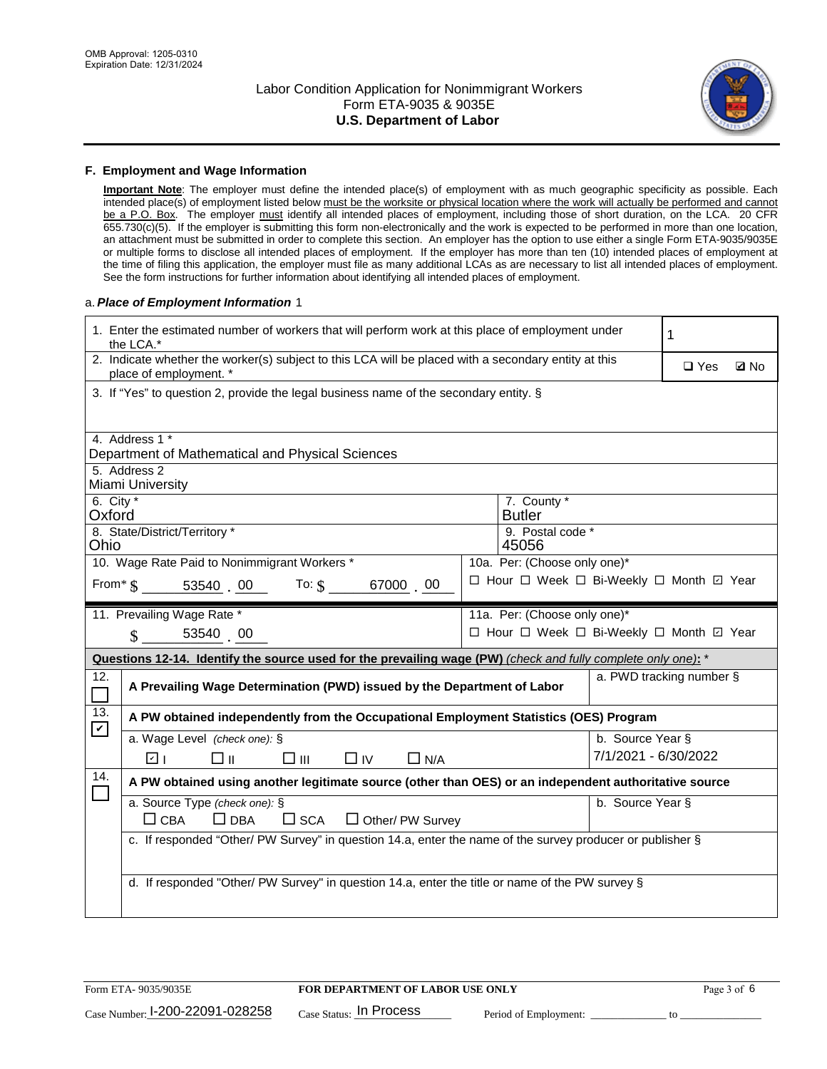

#### **F. Employment and Wage Information**

**Important Note**: The employer must define the intended place(s) of employment with as much geographic specificity as possible. Each intended place(s) of employment listed below must be the worksite or physical location where the work will actually be performed and cannot be a P.O. Box. The employer must identify all intended places of employment, including those of short duration, on the LCA. 20 CFR 655.730(c)(5). If the employer is submitting this form non-electronically and the work is expected to be performed in more than one location, an attachment must be submitted in order to complete this section. An employer has the option to use either a single Form ETA-9035/9035E or multiple forms to disclose all intended places of employment. If the employer has more than ten (10) intended places of employment at the time of filing this application, the employer must file as many additional LCAs as are necessary to list all intended places of employment. See the form instructions for further information about identifying all intended places of employment.

#### a.*Place of Employment Information* 1

|                                                                              | 1. Enter the estimated number of workers that will perform work at this place of employment under<br>1<br>the LCA.*            |  |                              |                      |                                          |  |  |  |
|------------------------------------------------------------------------------|--------------------------------------------------------------------------------------------------------------------------------|--|------------------------------|----------------------|------------------------------------------|--|--|--|
|                                                                              | 2. Indicate whether the worker(s) subject to this LCA will be placed with a secondary entity at this<br>place of employment. * |  |                              |                      |                                          |  |  |  |
|                                                                              | 3. If "Yes" to question 2, provide the legal business name of the secondary entity. §                                          |  |                              |                      |                                          |  |  |  |
|                                                                              | 4. Address 1 *                                                                                                                 |  |                              |                      |                                          |  |  |  |
|                                                                              | Department of Mathematical and Physical Sciences                                                                               |  |                              |                      |                                          |  |  |  |
|                                                                              | 5. Address 2<br>Miami University                                                                                               |  |                              |                      |                                          |  |  |  |
| 6. City $*$<br>Oxford                                                        |                                                                                                                                |  | 7. County *<br><b>Butler</b> |                      |                                          |  |  |  |
|                                                                              | 8. State/District/Territory *<br>9. Postal code *<br>Ohio<br>45056                                                             |  |                              |                      |                                          |  |  |  |
| 10. Wage Rate Paid to Nonimmigrant Workers *<br>10a. Per: (Choose only one)* |                                                                                                                                |  |                              |                      |                                          |  |  |  |
|                                                                              | □ Hour □ Week □ Bi-Weekly □ Month ☑ Year<br>From $*$ $\S$ 53540 00 To: $\S$<br>67000 00                                        |  |                              |                      |                                          |  |  |  |
|                                                                              | 11. Prevailing Wage Rate *                                                                                                     |  | 11a. Per: (Choose only one)* |                      |                                          |  |  |  |
|                                                                              | 53540 00<br>$\mathcal{S}$                                                                                                      |  |                              |                      | □ Hour □ Week □ Bi-Weekly □ Month 回 Year |  |  |  |
|                                                                              | Questions 12-14. Identify the source used for the prevailing wage (PW) (check and fully complete only one): *                  |  |                              |                      |                                          |  |  |  |
| 12.                                                                          |                                                                                                                                |  |                              |                      | a. PWD tracking number §                 |  |  |  |
| П                                                                            | A Prevailing Wage Determination (PWD) issued by the Department of Labor                                                        |  |                              |                      |                                          |  |  |  |
| 13.                                                                          | A PW obtained independently from the Occupational Employment Statistics (OES) Program                                          |  |                              |                      |                                          |  |  |  |
| $\mathbf v$                                                                  | a. Wage Level (check one): §                                                                                                   |  |                              | b. Source Year §     |                                          |  |  |  |
|                                                                              | ☑ ।<br>□⊪<br>□⊪<br>$\Box$ IV<br>$\Box$ N/A                                                                                     |  |                              | 7/1/2021 - 6/30/2022 |                                          |  |  |  |
| 14.                                                                          | A PW obtained using another legitimate source (other than OES) or an independent authoritative source                          |  |                              |                      |                                          |  |  |  |
|                                                                              | a. Source Type (check one): §                                                                                                  |  |                              | b. Source Year §     |                                          |  |  |  |
|                                                                              | $\Box$ CBA<br>$\Box$ DBA<br>$\square$ SCA<br>$\Box$ Other/ PW Survey                                                           |  |                              |                      |                                          |  |  |  |
|                                                                              | c. If responded "Other/ PW Survey" in question 14.a, enter the name of the survey producer or publisher §                      |  |                              |                      |                                          |  |  |  |
|                                                                              |                                                                                                                                |  |                              |                      |                                          |  |  |  |
|                                                                              | d. If responded "Other/ PW Survey" in question 14.a, enter the title or name of the PW survey §                                |  |                              |                      |                                          |  |  |  |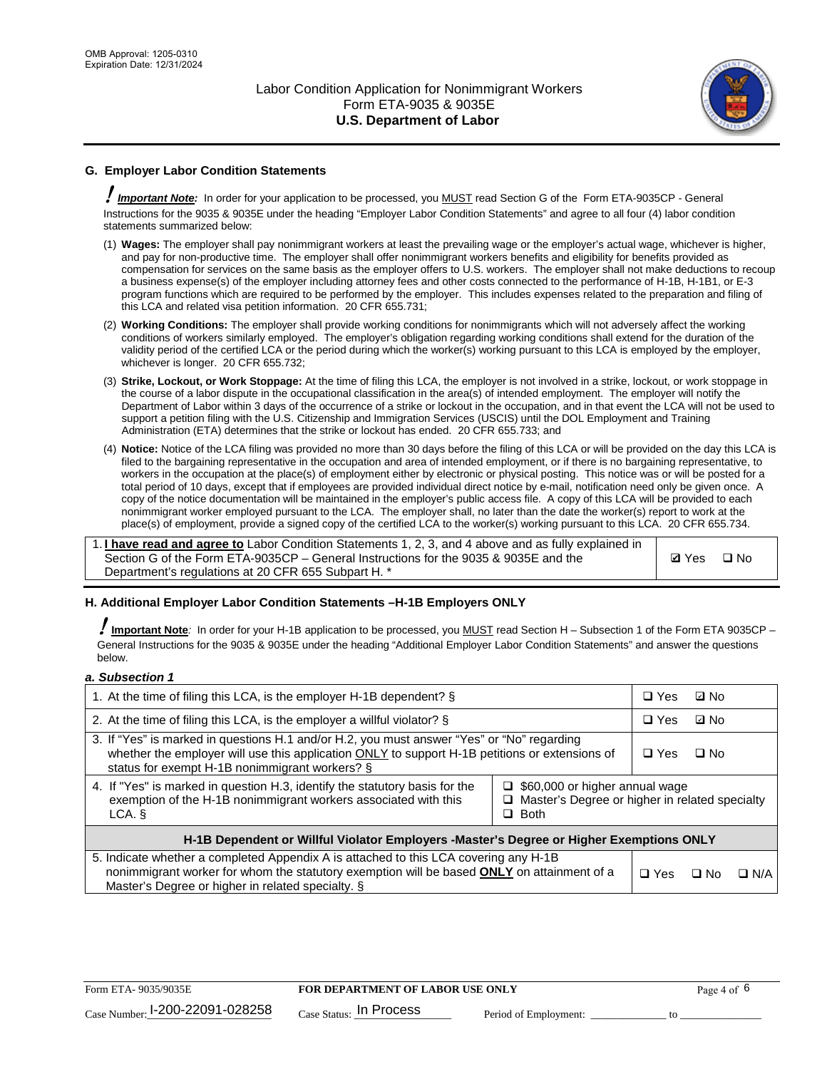

# **G. Employer Labor Condition Statements**

! *Important Note:* In order for your application to be processed, you MUST read Section G of the Form ETA-9035CP - General Instructions for the 9035 & 9035E under the heading "Employer Labor Condition Statements" and agree to all four (4) labor condition statements summarized below:

- (1) **Wages:** The employer shall pay nonimmigrant workers at least the prevailing wage or the employer's actual wage, whichever is higher, and pay for non-productive time. The employer shall offer nonimmigrant workers benefits and eligibility for benefits provided as compensation for services on the same basis as the employer offers to U.S. workers. The employer shall not make deductions to recoup a business expense(s) of the employer including attorney fees and other costs connected to the performance of H-1B, H-1B1, or E-3 program functions which are required to be performed by the employer. This includes expenses related to the preparation and filing of this LCA and related visa petition information. 20 CFR 655.731;
- (2) **Working Conditions:** The employer shall provide working conditions for nonimmigrants which will not adversely affect the working conditions of workers similarly employed. The employer's obligation regarding working conditions shall extend for the duration of the validity period of the certified LCA or the period during which the worker(s) working pursuant to this LCA is employed by the employer, whichever is longer. 20 CFR 655.732;
- (3) **Strike, Lockout, or Work Stoppage:** At the time of filing this LCA, the employer is not involved in a strike, lockout, or work stoppage in the course of a labor dispute in the occupational classification in the area(s) of intended employment. The employer will notify the Department of Labor within 3 days of the occurrence of a strike or lockout in the occupation, and in that event the LCA will not be used to support a petition filing with the U.S. Citizenship and Immigration Services (USCIS) until the DOL Employment and Training Administration (ETA) determines that the strike or lockout has ended. 20 CFR 655.733; and
- (4) **Notice:** Notice of the LCA filing was provided no more than 30 days before the filing of this LCA or will be provided on the day this LCA is filed to the bargaining representative in the occupation and area of intended employment, or if there is no bargaining representative, to workers in the occupation at the place(s) of employment either by electronic or physical posting. This notice was or will be posted for a total period of 10 days, except that if employees are provided individual direct notice by e-mail, notification need only be given once. A copy of the notice documentation will be maintained in the employer's public access file. A copy of this LCA will be provided to each nonimmigrant worker employed pursuant to the LCA. The employer shall, no later than the date the worker(s) report to work at the place(s) of employment, provide a signed copy of the certified LCA to the worker(s) working pursuant to this LCA. 20 CFR 655.734.

1. **I have read and agree to** Labor Condition Statements 1, 2, 3, and 4 above and as fully explained in Section G of the Form ETA-9035CP – General Instructions for the 9035 & 9035E and the Department's regulations at 20 CFR 655 Subpart H. \*

**Ø**Yes ロNo

### **H. Additional Employer Labor Condition Statements –H-1B Employers ONLY**

!**Important Note***:* In order for your H-1B application to be processed, you MUST read Section H – Subsection 1 of the Form ETA 9035CP – General Instructions for the 9035 & 9035E under the heading "Additional Employer Labor Condition Statements" and answer the questions below.

#### *a. Subsection 1*

| 1. At the time of filing this LCA, is the employer H-1B dependent? §                                                                                                                                                                           |                                                                                                               |  | ⊡ No      |            |  |
|------------------------------------------------------------------------------------------------------------------------------------------------------------------------------------------------------------------------------------------------|---------------------------------------------------------------------------------------------------------------|--|-----------|------------|--|
| 2. At the time of filing this LCA, is the employer a willful violator? $\S$                                                                                                                                                                    |                                                                                                               |  | ⊡ No      |            |  |
| 3. If "Yes" is marked in questions H.1 and/or H.2, you must answer "Yes" or "No" regarding<br>whether the employer will use this application ONLY to support H-1B petitions or extensions of<br>status for exempt H-1B nonimmigrant workers? § |                                                                                                               |  | $\Box$ No |            |  |
| 4. If "Yes" is marked in question H.3, identify the statutory basis for the<br>exemption of the H-1B nonimmigrant workers associated with this<br>LCA.                                                                                         | $\Box$ \$60,000 or higher annual wage<br>$\Box$ Master's Degree or higher in related specialty<br>$\Box$ Both |  |           |            |  |
| H-1B Dependent or Willful Violator Employers -Master's Degree or Higher Exemptions ONLY                                                                                                                                                        |                                                                                                               |  |           |            |  |
| 5. Indicate whether a completed Appendix A is attached to this LCA covering any H-1B<br>nonimmigrant worker for whom the statutory exemption will be based <b>ONLY</b> on attainment of a<br>Master's Degree or higher in related specialty. § |                                                                                                               |  | ⊡ No      | $\Box$ N/A |  |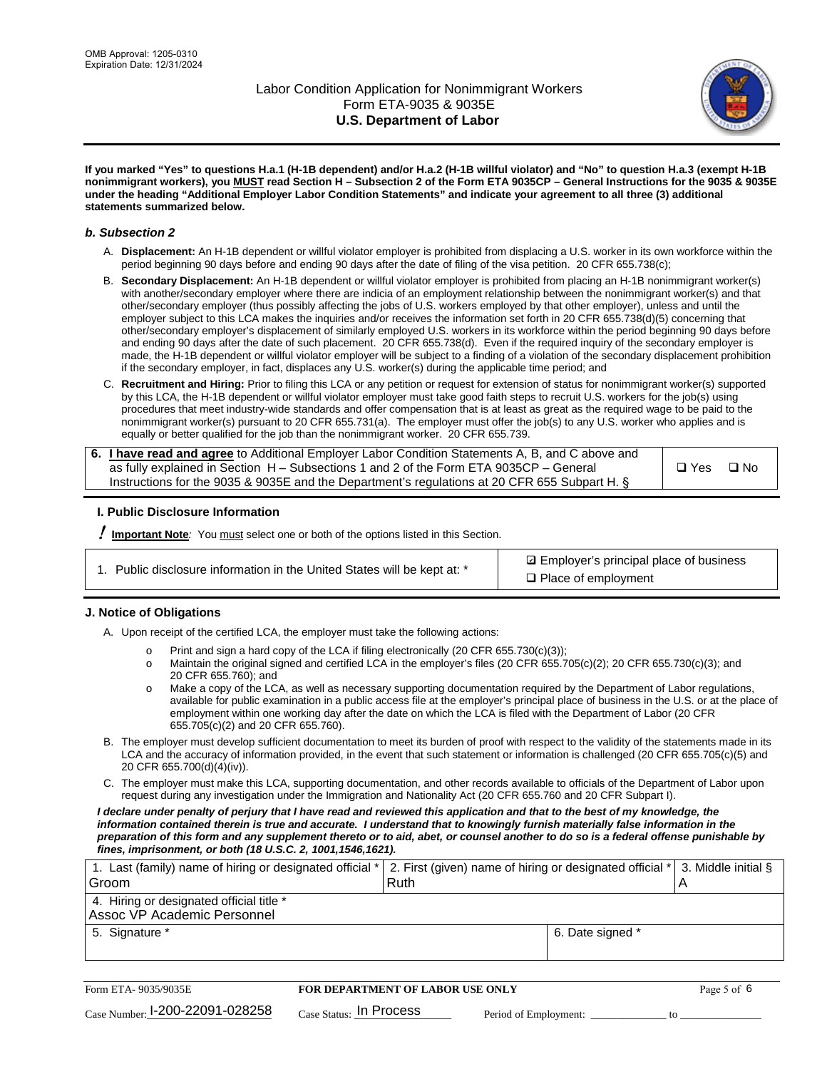

**If you marked "Yes" to questions H.a.1 (H-1B dependent) and/or H.a.2 (H-1B willful violator) and "No" to question H.a.3 (exempt H-1B nonimmigrant workers), you MUST read Section H – Subsection 2 of the Form ETA 9035CP – General Instructions for the 9035 & 9035E under the heading "Additional Employer Labor Condition Statements" and indicate your agreement to all three (3) additional statements summarized below.**

#### *b. Subsection 2*

- A. **Displacement:** An H-1B dependent or willful violator employer is prohibited from displacing a U.S. worker in its own workforce within the period beginning 90 days before and ending 90 days after the date of filing of the visa petition. 20 CFR 655.738(c);
- B. **Secondary Displacement:** An H-1B dependent or willful violator employer is prohibited from placing an H-1B nonimmigrant worker(s) with another/secondary employer where there are indicia of an employment relationship between the nonimmigrant worker(s) and that other/secondary employer (thus possibly affecting the jobs of U.S. workers employed by that other employer), unless and until the employer subject to this LCA makes the inquiries and/or receives the information set forth in 20 CFR 655.738(d)(5) concerning that other/secondary employer's displacement of similarly employed U.S. workers in its workforce within the period beginning 90 days before and ending 90 days after the date of such placement. 20 CFR 655.738(d). Even if the required inquiry of the secondary employer is made, the H-1B dependent or willful violator employer will be subject to a finding of a violation of the secondary displacement prohibition if the secondary employer, in fact, displaces any U.S. worker(s) during the applicable time period; and
- C. **Recruitment and Hiring:** Prior to filing this LCA or any petition or request for extension of status for nonimmigrant worker(s) supported by this LCA, the H-1B dependent or willful violator employer must take good faith steps to recruit U.S. workers for the job(s) using procedures that meet industry-wide standards and offer compensation that is at least as great as the required wage to be paid to the nonimmigrant worker(s) pursuant to 20 CFR 655.731(a). The employer must offer the job(s) to any U.S. worker who applies and is equally or better qualified for the job than the nonimmigrant worker. 20 CFR 655.739.

| 6. I have read and agree to Additional Employer Labor Condition Statements A, B, and C above and |       |           |
|--------------------------------------------------------------------------------------------------|-------|-----------|
| as fully explained in Section H – Subsections 1 and 2 of the Form ETA 9035CP – General           | □ Yes | $\Box$ No |
| Instructions for the 9035 & 9035 E and the Department's regulations at 20 CFR 655 Subpart H. §   |       |           |

### **I. Public Disclosure Information**

! **Important Note***:* You must select one or both of the options listed in this Section.

| 1. Public disclosure information in the United States will be kept at: * |  |  |  |  |  |  |  |
|--------------------------------------------------------------------------|--|--|--|--|--|--|--|
|--------------------------------------------------------------------------|--|--|--|--|--|--|--|

**sqrt** Employer's principal place of business □ Place of employment

### **J. Notice of Obligations**

A. Upon receipt of the certified LCA, the employer must take the following actions:

- o Print and sign a hard copy of the LCA if filing electronically (20 CFR 655.730(c)(3));<br>
Maintain the original signed and certified LCA in the employer's files (20 CFR 655.7
- Maintain the original signed and certified LCA in the employer's files (20 CFR 655.705(c)(2); 20 CFR 655.730(c)(3); and 20 CFR 655.760); and
- o Make a copy of the LCA, as well as necessary supporting documentation required by the Department of Labor regulations, available for public examination in a public access file at the employer's principal place of business in the U.S. or at the place of employment within one working day after the date on which the LCA is filed with the Department of Labor (20 CFR 655.705(c)(2) and 20 CFR 655.760).
- B. The employer must develop sufficient documentation to meet its burden of proof with respect to the validity of the statements made in its LCA and the accuracy of information provided, in the event that such statement or information is challenged (20 CFR 655.705(c)(5) and 20 CFR 655.700(d)(4)(iv)).
- C. The employer must make this LCA, supporting documentation, and other records available to officials of the Department of Labor upon request during any investigation under the Immigration and Nationality Act (20 CFR 655.760 and 20 CFR Subpart I).

*I declare under penalty of perjury that I have read and reviewed this application and that to the best of my knowledge, the*  information contained therein is true and accurate. I understand that to knowingly furnish materially false information in the *preparation of this form and any supplement thereto or to aid, abet, or counsel another to do so is a federal offense punishable by fines, imprisonment, or both (18 U.S.C. 2, 1001,1546,1621).*

| 1. Last (family) name of hiring or designated official * 2. First (given) name of hiring or designated official * 3. Middle initial § |  |
|---------------------------------------------------------------------------------------------------------------------------------------|--|
| Ruth                                                                                                                                  |  |
|                                                                                                                                       |  |
| 6. Date signed *                                                                                                                      |  |
|                                                                                                                                       |  |